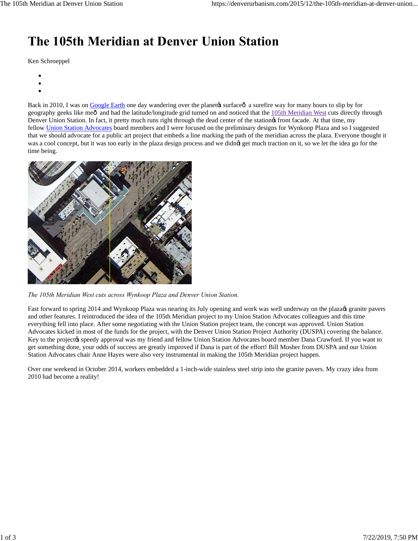## **The 105th Meridian at Denver Union Station**

Ken Schroeppel

- 
- 
- 

Back in 2010, I was on Google Earth one day wandering over the planety surface  $\hat{a}$  a surefire way for many hours to slip by for geography geeks like meô and had the latitude/longitude grid turned on and noticed that the 105th Meridian West cuts directly through Denver Union Station. In fact, it pretty much runs right through the dead center of the stations front facade. At that time, my fellow Union Station Advocates board members and I were focused on the preliminary designs for Wynkoop Plaza and so I suggested that we should advocate for a public art project that embeds a line marking the path of the meridian across the plaza. Everyone thought it was a cool concept, but it was too early in the plaza design process and we didnet get much traction on it, so we let the idea go for the time being.



*The 105th Meridian West cuts across Wynkoop Plaza and Denver Union Station.*

Fast forward to spring 2014 and Wynkoop Plaza was nearing its July opening and work was well underway on the plazaes granite pavers and other features. I reintroduced the idea of the 105th Meridian project to my Union Station Advocates colleagues and this time everything fell into place. After some negotiating with the Union Station project team, the concept was approved. Union Station Advocates kicked in most of the funds for the project, with the Denver Union Station Project Authority (DUSPA) covering the balance. Key to the project $\alpha$  speedy approval was my friend and fellow Union Station Advocates board member Dana Crawford. If you want to get something done, your odds of success are greatly improved if Dana is part of the effort! Bill Mosher from DUSPA and our Union Station Advocates chair Anne Hayes were also very instrumental in making the 105th Meridian project happen.

Over one weekend in October 2014, workers embedded a 1-inch-wide stainless steel strip into the granite pavers. My crazy idea from 2010 had become a reality!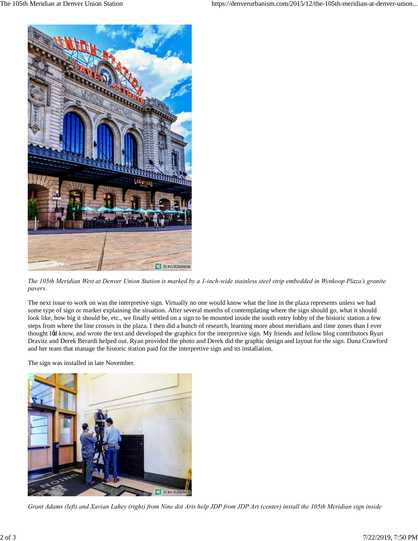

*The 105th Meridian West at Denver Union Station is marked by a 1-inch-wide stainless steel strip embedded in Wynkoop Plaza's granite pavers.*

The next issue to work on was the interpretive sign. Virtually no one would know what the line in the plaza represents unless we had some type of sign or marker explaining the situation. After several months of contemplating where the sign should go, what it should look like, how big it should be, etc., we finally settled on a sign to be mounted inside the south entry lobby of the historic station a few steps from where the line crosses in the plaza. I then did a bunch of research, learning more about meridians and time zones than I ever thought I& know, and wrote the text and developed the graphics for the interpretive sign. My friends and fellow blog contributors Ryan Dravitz and Derek Berardi helped out. Ryan provided the photo and Derek did the graphic design and layout for the sign. Dana Crawford and her team that manage the historic station paid for the interpretive sign and its installation.

The sign was installed in late November.



*Grant Adams (left) and Xavian Lahey (right) from Nine dot Arts help JDP from JDP Art (center) install the 105th Meridian sign inside*